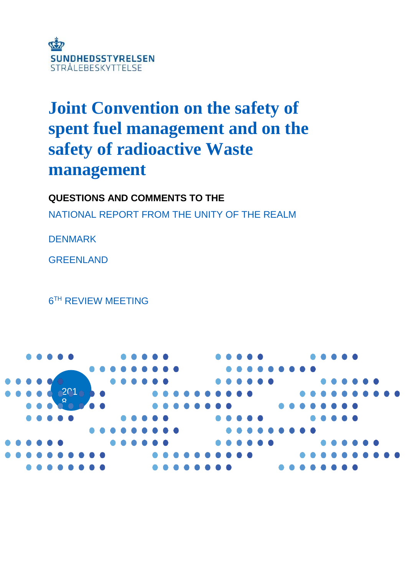

# **Joint Convention on the safety of spent fuel management and on the safety of radioactive Waste management**

**QUESTIONS AND COMMENTS TO THE**

NATIONAL REPORT FROM THE UNITY OF THE REALM

DENMARK

**GREENLAND** 

6 TH REVIEW MEETING

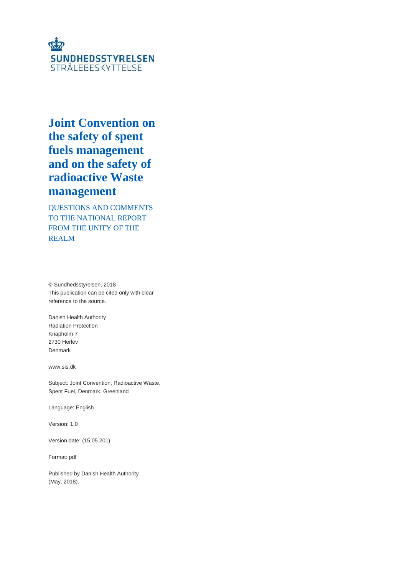

# **Joint Convention on the safety of spent fuels management and on the safety of radioactive Waste management**

QUESTIONS AND COMMENTS TO THE NATIONAL REPORT FROM THE UNITY OF THE REALM

© Sundhedsstyrelsen, 2018 This publication can be cited only with clear reference to the source.

Danish Health Authority Radiation Protection Knapholm 7 2730 Herlev Denmark

www.sis.dk

Subject: Joint Convention, Radioactive Waste, Spent Fuel, Denmark, Greenland

Language: English

Version: 1,0

Version date: (15.05.201)

Format: pdf

Published by Danish Health Authority (May, 2018).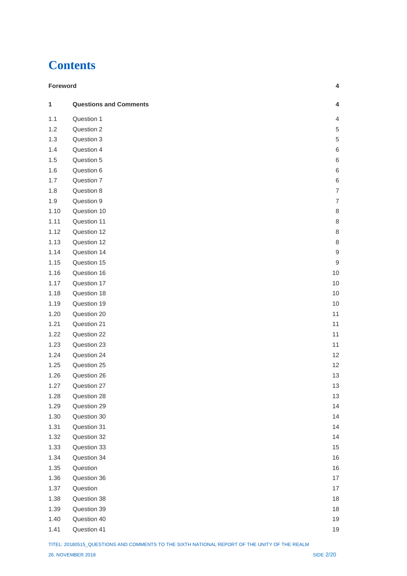# **Contents**

|      | <b>Foreword</b><br>4          |                  |  |
|------|-------------------------------|------------------|--|
| 1    | <b>Questions and Comments</b> | 4                |  |
| 1.1  | Question 1                    | 4                |  |
| 1.2  | Question 2                    | $\,$ 5 $\,$      |  |
| 1.3  | Question 3                    | $\,$ 5 $\,$      |  |
| 1.4  | Question 4                    | 6                |  |
| 1.5  | Question 5                    | $\,6$            |  |
| 1.6  | Question 6                    | 6                |  |
| 1.7  | Question 7                    | 6                |  |
| 1.8  | Question 8                    | $\overline{7}$   |  |
| 1.9  | Question 9                    | $\overline{7}$   |  |
| 1.10 | Question 10                   | 8                |  |
| 1.11 | Question 11                   | $\,8\,$          |  |
| 1.12 | Question 12                   | $\,8\,$          |  |
| 1.13 | Question 12                   | $\,8\,$          |  |
| 1.14 | Question 14                   | $\boldsymbol{9}$ |  |
| 1.15 | Question 15                   | $\boldsymbol{9}$ |  |
| 1.16 | Question 16                   | 10               |  |
| 1.17 | Question 17                   | 10               |  |
| 1.18 | Question 18                   | 10               |  |
| 1.19 | Question 19                   | 10               |  |
| 1.20 | Question 20                   | 11               |  |
| 1.21 | Question 21                   | 11               |  |
| 1.22 | Question 22                   | 11               |  |
| 1.23 | Question 23                   | 11               |  |
| 1.24 | Question 24                   | 12               |  |
| 1.25 | Question 25                   | 12               |  |
| 1.26 | Question 26                   | 13               |  |
| 1.27 | Question 27                   | 13               |  |
| 1.28 | Question 28                   | 13               |  |
| 1.29 | Question 29                   | 14               |  |
| 1.30 | Question 30                   | 14               |  |
| 1.31 | Question 31                   | 14               |  |
| 1.32 | Question 32                   | 14               |  |
| 1.33 | Question 33                   | 15               |  |
| 1.34 | Question 34                   | 16               |  |
| 1.35 | Question                      | 16               |  |
| 1.36 | Question 36                   | 17               |  |
| 1.37 | Question                      | 17               |  |
| 1.38 | Question 38                   | 18               |  |
| 1.39 | Question 39                   | 18               |  |
| 1.40 | Question 40                   | 19               |  |
| 1.41 | Question 41                   | $19$             |  |

TITEL: 20180515\_QUESTIONS AND COMMENTS TO THE SIXTH NATIONAL REPORT OF THE UNITY OF THE REALM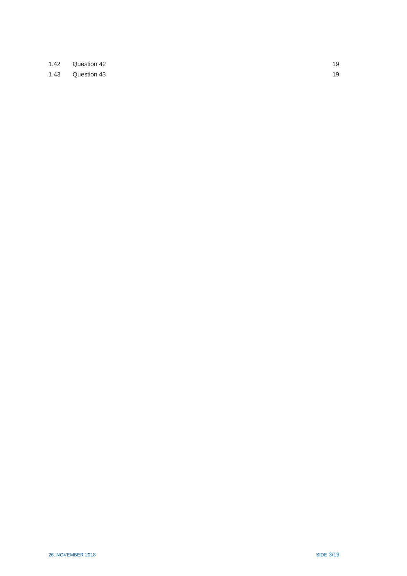| 1.42 Question 42 | 19 |
|------------------|----|
| 1.43 Question 43 | 19 |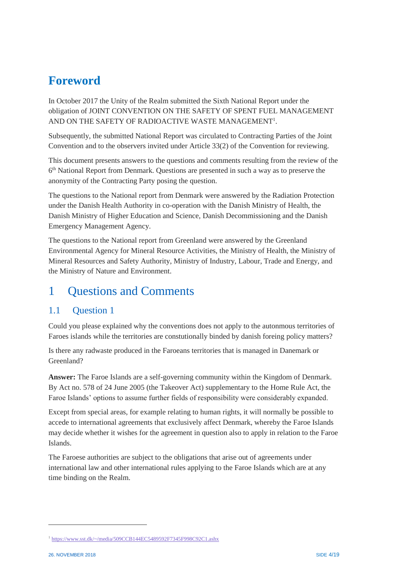# <span id="page-4-0"></span>**Foreword**

In October 2017 the Unity of the Realm submitted the Sixth National Report under the obligation of JOINT CONVENTION ON THE SAFETY OF SPENT FUEL MANAGEMENT AND ON THE SAFETY OF RADIOACTIVE WASTE MANAGEMENT<sup>1</sup>.

Subsequently, the submitted National Report was circulated to Contracting Parties of the Joint Convention and to the observers invited under Article 33(2) of the Convention for reviewing.

This document presents answers to the questions and comments resulting from the review of the 6 th National Report from Denmark. Questions are presented in such a way as to preserve the anonymity of the Contracting Party posing the question.

The questions to the National report from Denmark were answered by the Radiation Protection under the Danish Health Authority in co-operation with the Danish Ministry of Health, the Danish Ministry of Higher Education and Science, Danish Decommissioning and the Danish Emergency Management Agency.

The questions to the National report from Greenland were answered by the Greenland Environmental Agency for Mineral Resource Activities, the Ministry of Health, the Ministry of Mineral Resources and Safety Authority, Ministry of Industry, Labour, Trade and Energy, and the Ministry of Nature and Environment.

# <span id="page-4-1"></span>1 Questions and Comments

## <span id="page-4-2"></span>1.1 Ouestion 1

Could you please explained why the conventions does not apply to the autonmous territories of Faroes islands while the territories are constutionally binded by danish foreing policy matters?

Is there any radwaste produced in the Faroeans territories that is managed in Danemark or Greenland?

**Answer:** The Faroe Islands are a self-governing community within the Kingdom of Denmark. By Act no. 578 of 24 June 2005 (the Takeover Act) supplementary to the Home Rule Act, the Faroe Islands' options to assume further fields of responsibility were considerably expanded.

Except from special areas, for example relating to human rights, it will normally be possible to accede to international agreements that exclusively affect Denmark, whereby the Faroe Islands may decide whether it wishes for the agreement in question also to apply in relation to the Faroe Islands.

The Faroese authorities are subject to the obligations that arise out of agreements under international law and other international rules applying to the Faroe Islands which are at any time binding on the Realm.

 $\overline{a}$ 

<sup>1</sup> <https://www.sst.dk/~/media/509CCB144EC5489592F7345F998C92C1.ashx>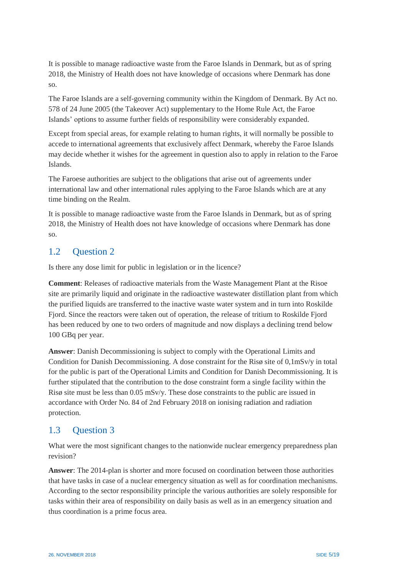It is possible to manage radioactive waste from the Faroe Islands in Denmark, but as of spring 2018, the Ministry of Health does not have knowledge of occasions where Denmark has done so.

The Faroe Islands are a self-governing community within the Kingdom of Denmark. By Act no. 578 of 24 June 2005 (the Takeover Act) supplementary to the Home Rule Act, the Faroe Islands' options to assume further fields of responsibility were considerably expanded.

Except from special areas, for example relating to human rights, it will normally be possible to accede to international agreements that exclusively affect Denmark, whereby the Faroe Islands may decide whether it wishes for the agreement in question also to apply in relation to the Faroe Islands.

The Faroese authorities are subject to the obligations that arise out of agreements under international law and other international rules applying to the Faroe Islands which are at any time binding on the Realm.

It is possible to manage radioactive waste from the Faroe Islands in Denmark, but as of spring 2018, the Ministry of Health does not have knowledge of occasions where Denmark has done so.

## <span id="page-5-0"></span>1.2 Question 2

Is there any dose limit for public in legislation or in the licence?

**Comment**: Releases of radioactive materials from the Waste Management Plant at the Risoe site are primarily liquid and originate in the radioactive wastewater distillation plant from which the purified liquids are transferred to the inactive waste water system and in turn into Roskilde Fjord. Since the reactors were taken out of operation, the release of tritium to Roskilde Fjord has been reduced by one to two orders of magnitude and now displays a declining trend below 100 GBq per year.

**Answer**: Danish Decommissioning is subject to comply with the Operational Limits and Condition for Danish Decommissioning. A dose constraint for the Risø site of 0,1mSv/y in total for the public is part of the Operational Limits and Condition for Danish Decommissioning. It is further stipulated that the contribution to the dose constraint form a single facility within the Risø site must be less than 0.05 mSv/y. These dose constraints to the public are issued in accordance with Order No. 84 of 2nd February 2018 on ionising radiation and radiation protection.

#### <span id="page-5-1"></span>1.3 Question 3

What were the most significant changes to the nationwide nuclear emergency preparedness plan revision?

**Answer**: The 2014-plan is shorter and more focused on coordination between those authorities that have tasks in case of a nuclear emergency situation as well as for coordination mechanisms. According to the sector responsibility principle the various authorities are solely responsible for tasks within their area of responsibility on daily basis as well as in an emergency situation and thus coordination is a prime focus area.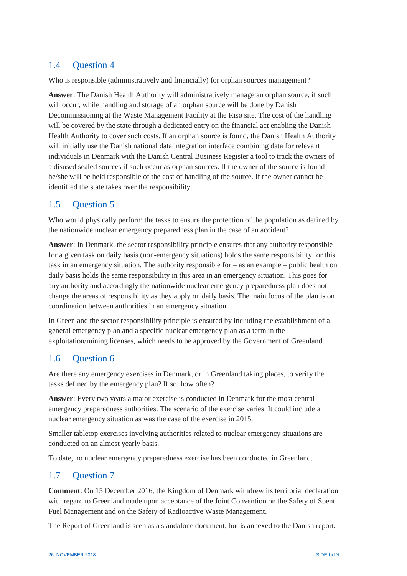# <span id="page-6-0"></span>1.4 Question 4

Who is responsible (administratively and financially) for orphan sources management?

**Answer**: The Danish Health Authority will administratively manage an orphan source, if such will occur, while handling and storage of an orphan source will be done by Danish Decommissioning at the Waste Management Facility at the Risø site. The cost of the handling will be covered by the state through a dedicated entry on the financial act enabling the Danish Health Authority to cover such costs. If an orphan source is found, the Danish Health Authority will initially use the Danish national data integration interface combining data for relevant individuals in Denmark with the Danish Central Business Register a tool to track the owners of a disused sealed sources if such occur as orphan sources. If the owner of the source is found he/she will be held responsible of the cost of handling of the source. If the owner cannot be identified the state takes over the responsibility.

## <span id="page-6-1"></span>1.5 Question 5

Who would physically perform the tasks to ensure the protection of the population as defined by the nationwide nuclear emergency preparedness plan in the case of an accident?

**Answer**: In Denmark, the sector responsibility principle ensures that any authority responsible for a given task on daily basis (non-emergency situations) holds the same responsibility for this task in an emergency situation. The authority responsible for – as an example – public health on daily basis holds the same responsibility in this area in an emergency situation. This goes for any authority and accordingly the nationwide nuclear emergency preparedness plan does not change the areas of responsibility as they apply on daily basis. The main focus of the plan is on coordination between authorities in an emergency situation.

In Greenland the sector responsibility principle is ensured by including the establishment of a general emergency plan and a specific nuclear emergency plan as a term in the exploitation/mining licenses, which needs to be approved by the Government of Greenland.

## <span id="page-6-2"></span>1.6 Question 6

Are there any emergency exercises in Denmark, or in Greenland taking places, to verify the tasks defined by the emergency plan? If so, how often?

**Answer**: Every two years a major exercise is conducted in Denmark for the most central emergency preparedness authorities. The scenario of the exercise varies. It could include a nuclear emergency situation as was the case of the exercise in 2015.

Smaller tabletop exercises involving authorities related to nuclear emergency situations are conducted on an almost yearly basis.

To date, no nuclear emergency preparedness exercise has been conducted in Greenland.

## <span id="page-6-3"></span>1.7 Question 7

**Comment**: On 15 December 2016, the Kingdom of Denmark withdrew its territorial declaration with regard to Greenland made upon acceptance of the Joint Convention on the Safety of Spent Fuel Management and on the Safety of Radioactive Waste Management.

The Report of Greenland is seen as a standalone document, but is annexed to the Danish report.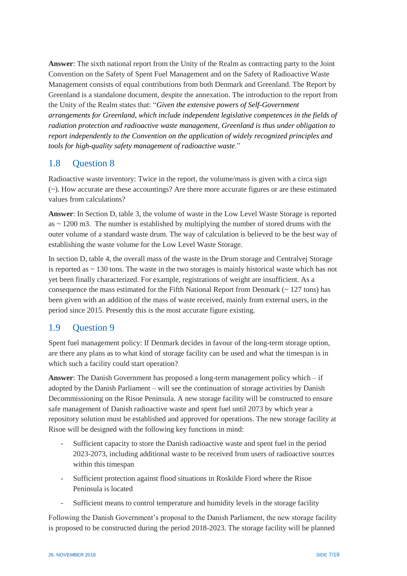**Answer**: The sixth national report from the Unity of the Realm as contracting party to the Joint Convention on the Safety of Spent Fuel Management and on the Safety of Radioactive Waste Management consists of equal contributions from both Denmark and Greenland. The Report by Greenland is a standalone document, despite the annexation. The introduction to the report from the Unity of the Realm states that: "*Given the extensive powers of Self-Government arrangements for Greenland, which include independent legislative competences in the fields of radiation protection and radioactive waste management, Greenland is thus under obligation to report independently to the Convention on the application of widely recognized principles and tools for high-quality safety management of radioactive waste*."

#### <span id="page-7-0"></span>1.8 Question 8

Radioactive waste inventory: Twice in the report, the volume/mass is given with a circa sign (~). How accurate are these accountings? Are there more accurate figures or are these estimated values from calculations?

**Answer**: In Section D, table 3, the volume of waste in the Low Level Waste Storage is reported as ~ 1200 m3. The number is established by multiplying the number of stored drums with the outer volume of a standard waste drum. The way of calculation is believed to be the best way of establishing the waste volume for the Low Level Waste Storage.

In section D, table 4, the overall mass of the waste in the Drum storage and Centralvej Storage is reported as  $\sim$  130 tons. The waste in the two storages is mainly historical waste which has not yet been finally characterized. For example, registrations of weight are insufficient. As a consequence the mass estimated for the Fifth National Report from Denmark ( $\sim$  127 tons) has been given with an addition of the mass of waste received, mainly from external users, in the period since 2015. Presently this is the most accurate figure existing.

#### <span id="page-7-1"></span>1.9 Question 9

Spent fuel management policy: If Denmark decides in favour of the long-term storage option, are there any plans as to what kind of storage facility can be used and what the timespan is in which such a facility could start operation?

**Answer**: The Danish Government has proposed a long-term management policy which – if adopted by the Danish Parliament – will see the continuation of storage activities by Danish Decommissioning on the Risoe Peninsula. A new storage facility will be constructed to ensure safe management of Danish radioactive waste and spent fuel until 2073 by which year a repository solution must be established and approved for operations. The new storage facility at Risoe will be designed with the following key functions in mind:

- Sufficient capacity to store the Danish radioactive waste and spent fuel in the period 2023-2073, including additional waste to be received from users of radioactive sources within this timespan
- Sufficient protection against flood situations in Roskilde Fiord where the Risoe Peninsula is located
- Sufficient means to control temperature and humidity levels in the storage facility

Following the Danish Government's proposal to the Danish Parliament, the new storage facility is proposed to be constructed during the period 2018-2023. The storage facility will be planned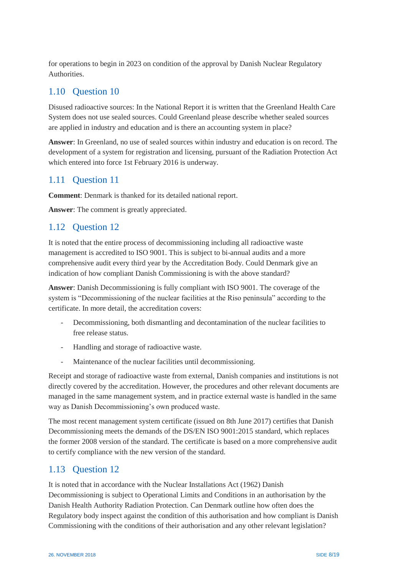for operations to begin in 2023 on condition of the approval by Danish Nuclear Regulatory Authorities.

# <span id="page-8-0"></span>1.10 Question 10

Disused radioactive sources: In the National Report it is written that the Greenland Health Care System does not use sealed sources. Could Greenland please describe whether sealed sources are applied in industry and education and is there an accounting system in place?

**Answer**: In Greenland, no use of sealed sources within industry and education is on record. The development of a system for registration and licensing, pursuant of the Radiation Protection Act which entered into force 1st February 2016 is underway.

## <span id="page-8-1"></span>1.11 Question 11

**Comment**: Denmark is thanked for its detailed national report.

**Answer**: The comment is greatly appreciated.

## <span id="page-8-2"></span>1.12 Question 12

It is noted that the entire process of decommissioning including all radioactive waste management is accredited to ISO 9001. This is subject to bi-annual audits and a more comprehensive audit every third year by the Accreditation Body. Could Denmark give an indication of how compliant Danish Commissioning is with the above standard?

**Answer**: Danish Decommissioning is fully compliant with ISO 9001. The coverage of the system is "Decommissioning of the nuclear facilities at the Riso peninsula" according to the certificate. In more detail, the accreditation covers:

- Decommissioning, both dismantling and decontamination of the nuclear facilities to free release status.
- Handling and storage of radioactive waste.
- Maintenance of the nuclear facilities until decommissioning.

Receipt and storage of radioactive waste from external, Danish companies and institutions is not directly covered by the accreditation. However, the procedures and other relevant documents are managed in the same management system, and in practice external waste is handled in the same way as Danish Decommissioning's own produced waste.

The most recent management system certificate (issued on 8th June 2017) certifies that Danish Decommissioning meets the demands of the DS/EN ISO 9001:2015 standard, which replaces the former 2008 version of the standard. The certificate is based on a more comprehensive audit to certify compliance with the new version of the standard.

## <span id="page-8-3"></span>1.13 Question 12

It is noted that in accordance with the Nuclear Installations Act (1962) Danish Decommissioning is subject to Operational Limits and Conditions in an authorisation by the Danish Health Authority Radiation Protection. Can Denmark outline how often does the Regulatory body inspect against the condition of this authorisation and how compliant is Danish Commissioning with the conditions of their authorisation and any other relevant legislation?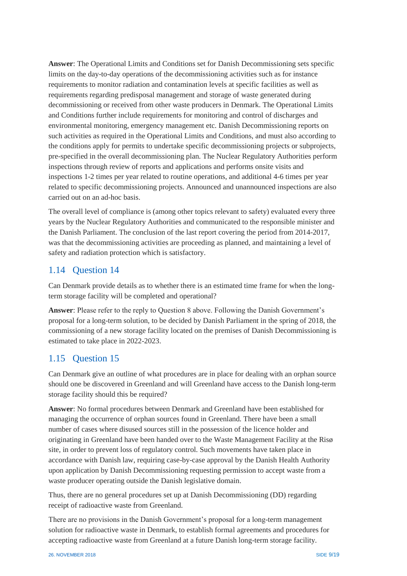**Answer**: The Operational Limits and Conditions set for Danish Decommissioning sets specific limits on the day-to-day operations of the decommissioning activities such as for instance requirements to monitor radiation and contamination levels at specific facilities as well as requirements regarding predisposal management and storage of waste generated during decommissioning or received from other waste producers in Denmark. The Operational Limits and Conditions further include requirements for monitoring and control of discharges and environmental monitoring, emergency management etc. Danish Decommissioning reports on such activities as required in the Operational Limits and Conditions, and must also according to the conditions apply for permits to undertake specific decommissioning projects or subprojects, pre-specified in the overall decommissioning plan. The Nuclear Regulatory Authorities perform inspections through review of reports and applications and performs onsite visits and inspections 1-2 times per year related to routine operations, and additional 4-6 times per year related to specific decommissioning projects. Announced and unannounced inspections are also carried out on an ad-hoc basis.

The overall level of compliance is (among other topics relevant to safety) evaluated every three years by the Nuclear Regulatory Authorities and communicated to the responsible minister and the Danish Parliament. The conclusion of the last report covering the period from 2014-2017, was that the decommissioning activities are proceeding as planned, and maintaining a level of safety and radiation protection which is satisfactory.

#### <span id="page-9-0"></span>1.14 Question 14

Can Denmark provide details as to whether there is an estimated time frame for when the longterm storage facility will be completed and operational?

**Answer**: Please refer to the reply to Question 8 above. Following the Danish Government's proposal for a long-term solution, to be decided by Danish Parliament in the spring of 2018, the commissioning of a new storage facility located on the premises of Danish Decommissioning is estimated to take place in 2022-2023.

#### <span id="page-9-1"></span>1.15 Question 15

Can Denmark give an outline of what procedures are in place for dealing with an orphan source should one be discovered in Greenland and will Greenland have access to the Danish long-term storage facility should this be required?

**Answer**: No formal procedures between Denmark and Greenland have been established for managing the occurrence of orphan sources found in Greenland. There have been a small number of cases where disused sources still in the possession of the licence holder and originating in Greenland have been handed over to the Waste Management Facility at the Risø site, in order to prevent loss of regulatory control. Such movements have taken place in accordance with Danish law, requiring case-by-case approval by the Danish Health Authority upon application by Danish Decommissioning requesting permission to accept waste from a waste producer operating outside the Danish legislative domain.

Thus, there are no general procedures set up at Danish Decommissioning (DD) regarding receipt of radioactive waste from Greenland.

There are no provisions in the Danish Government's proposal for a long-term management solution for radioactive waste in Denmark, to establish formal agreements and procedures for accepting radioactive waste from Greenland at a future Danish long-term storage facility.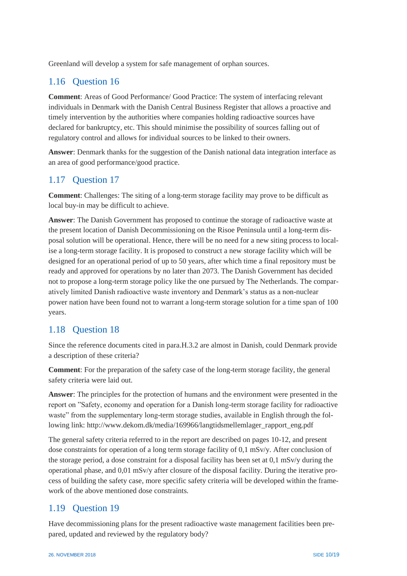Greenland will develop a system for safe management of orphan sources.

#### <span id="page-10-0"></span>1.16 Question 16

**Comment**: Areas of Good Performance/ Good Practice: The system of interfacing relevant individuals in Denmark with the Danish Central Business Register that allows a proactive and timely intervention by the authorities where companies holding radioactive sources have declared for bankruptcy, etc. This should minimise the possibility of sources falling out of regulatory control and allows for individual sources to be linked to their owners.

**Answer**: Denmark thanks for the suggestion of the Danish national data integration interface as an area of good performance/good practice.

#### <span id="page-10-1"></span>1.17 Question 17

**Comment**: Challenges: The siting of a long-term storage facility may prove to be difficult as local buy-in may be difficult to achieve.

**Answer**: The Danish Government has proposed to continue the storage of radioactive waste at the present location of Danish Decommissioning on the Risoe Peninsula until a long-term disposal solution will be operational. Hence, there will be no need for a new siting process to localise a long-term storage facility. It is proposed to construct a new storage facility which will be designed for an operational period of up to 50 years, after which time a final repository must be ready and approved for operations by no later than 2073. The Danish Government has decided not to propose a long-term storage policy like the one pursued by The Netherlands. The comparatively limited Danish radioactive waste inventory and Denmark's status as a non-nuclear power nation have been found not to warrant a long-term storage solution for a time span of 100 years.

## <span id="page-10-2"></span>1.18 Question 18

Since the reference documents cited in para.H.3.2 are almost in Danish, could Denmark provide a description of these criteria?

**Comment**: For the preparation of the safety case of the long-term storage facility, the general safety criteria were laid out.

**Answer**: The principles for the protection of humans and the environment were presented in the report on "Safety, economy and operation for a Danish long-term storage facility for radioactive waste" from the supplementary long-term storage studies, available in English through the following link: http://www.dekom.dk/media/169966/langtidsmellemlager\_rapport\_eng.pdf

The general safety criteria referred to in the report are described on pages 10-12, and present dose constraints for operation of a long term storage facility of 0,1 mSv/y. After conclusion of the storage period, a dose constraint for a disposal facility has been set at 0,1 mSv/y during the operational phase, and 0,01 mSv/y after closure of the disposal facility. During the iterative process of building the safety case, more specific safety criteria will be developed within the framework of the above mentioned dose constraints.

## <span id="page-10-3"></span>1.19 Question 19

Have decommissioning plans for the present radioactive waste management facilities been prepared, updated and reviewed by the regulatory body?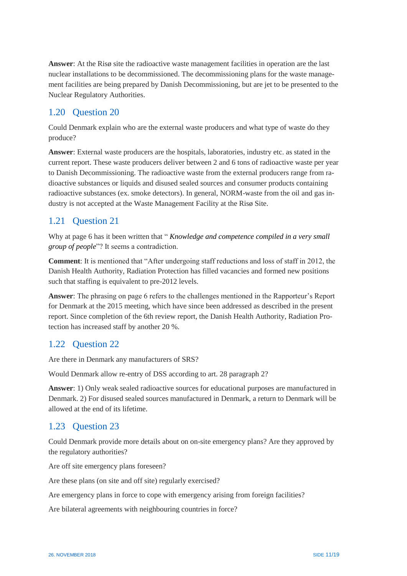**Answer**: At the Risø site the radioactive waste management facilities in operation are the last nuclear installations to be decommissioned. The decommissioning plans for the waste management facilities are being prepared by Danish Decommissioning, but are jet to be presented to the Nuclear Regulatory Authorities.

# <span id="page-11-0"></span>1.20 Question 20

Could Denmark explain who are the external waste producers and what type of waste do they produce?

**Answer**: External waste producers are the hospitals, laboratories, industry etc. as stated in the current report. These waste producers deliver between 2 and 6 tons of radioactive waste per year to Danish Decommissioning. The radioactive waste from the external producers range from radioactive substances or liquids and disused sealed sources and consumer products containing radioactive substances (ex. smoke detectors). In general, NORM-waste from the oil and gas industry is not accepted at the Waste Management Facility at the Risø Site.

# <span id="page-11-1"></span>1.21 Question 21

Why at page 6 has it been written that " *Knowledge and competence compiled in a very small group of people*"? It seems a contradiction.

**Comment**: It is mentioned that "After undergoing staff reductions and loss of staff in 2012, the Danish Health Authority, Radiation Protection has filled vacancies and formed new positions such that staffing is equivalent to pre-2012 levels.

**Answer**: The phrasing on page 6 refers to the challenges mentioned in the Rapporteur's Report for Denmark at the 2015 meeting, which have since been addressed as described in the present report. Since completion of the 6th review report, the Danish Health Authority, Radiation Protection has increased staff by another 20 %.

## <span id="page-11-2"></span>1.22 Question 22

Are there in Denmark any manufacturers of SRS?

Would Denmark allow re-entry of DSS according to art. 28 paragraph 2?

**Answer**: 1) Only weak sealed radioactive sources for educational purposes are manufactured in Denmark. 2) For disused sealed sources manufactured in Denmark, a return to Denmark will be allowed at the end of its lifetime.

## <span id="page-11-3"></span>1.23 Question 23

Could Denmark provide more details about on on-site emergency plans? Are they approved by the regulatory authorities?

Are off site emergency plans foreseen?

Are these plans (on site and off site) regularly exercised?

Are emergency plans in force to cope with emergency arising from foreign facilities?

Are bilateral agreements with neighbouring countries in force?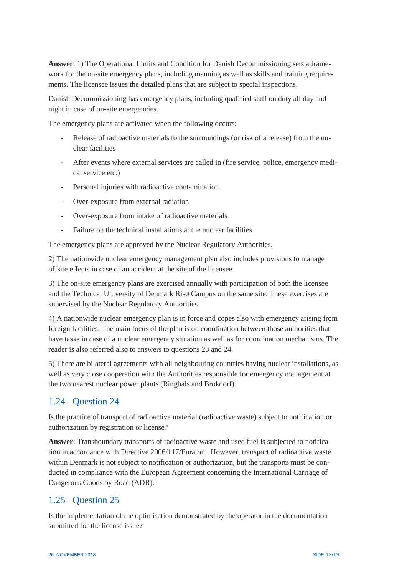**Answer**: 1) The Operational Limits and Condition for Danish Decommissioning sets a framework for the on-site emergency plans, including manning as well as skills and training requirements. The licensee issues the detailed plans that are subject to special inspections.

Danish Decommissioning has emergency plans, including qualified staff on duty all day and night in case of on-site emergencies.

The emergency plans are activated when the following occurs:

- Release of radioactive materials to the surroundings (or risk of a release) from the nuclear facilities
- After events where external services are called in (fire service, police, emergency medical service etc.)
- Personal injuries with radioactive contamination
- Over-exposure from external radiation
- Over-exposure from intake of radioactive materials
- Failure on the technical installations at the nuclear facilities

The emergency plans are approved by the Nuclear Regulatory Authorities.

2) The nationwide nuclear emergency management plan also includes provisions to manage offsite effects in case of an accident at the site of the licensee.

3) The on-site emergency plans are exercised annually with participation of both the licensee and the Technical University of Denmark Risø Campus on the same site. These exercises are supervised by the Nuclear Regulatory Authorities.

4) A nationwide nuclear emergency plan is in force and copes also with emergency arising from foreign facilities. The main focus of the plan is on coordination between those authorities that have tasks in case of a nuclear emergency situation as well as for coordination mechanisms. The reader is also referred also to answers to questions 23 and 24.

5) There are bilateral agreements with all neighbouring countries having nuclear installations, as well as very close cooperation with the Authorities responsible for emergency management at the two nearest nuclear power plants (Ringhals and Brokdorf).

## <span id="page-12-0"></span>1.24 Question 24

Is the practice of transport of radioactive material (radioactive waste) subject to notification or authorization by registration or license?

**Answer**: Transboundary transports of radioactive waste and used fuel is subjected to notification in accordance with Directive 2006/117/Euratom. However, transport of radioactive waste within Denmark is not subject to notification or authorization, but the transports must be conducted in compliance with the European Agreement concerning the International Carriage of Dangerous Goods by Road (ADR).

#### <span id="page-12-1"></span>1.25 Question 25

Is the implementation of the optimisation demonstrated by the operator in the documentation submitted for the license issue?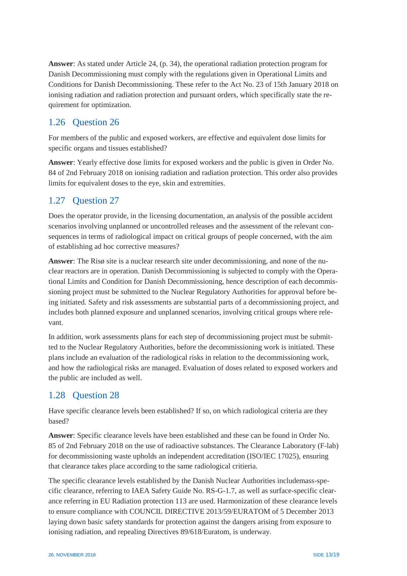**Answer**: As stated under Article 24, (p. 34), the operational radiation protection program for Danish Decommissioning must comply with the regulations given in Operational Limits and Conditions for Danish Decommissioning. These refer to the Act No. 23 of 15th January 2018 on ionising radiation and radiation protection and pursuant orders, which specifically state the requirement for optimization.

# <span id="page-13-0"></span>1.26 Question 26

For members of the public and exposed workers, are effective and equivalent dose limits for specific organs and tissues established?

**Answer**: Yearly effective dose limits for exposed workers and the public is given in Order No. 84 of 2nd February 2018 on ionising radiation and radiation protection. This order also provides limits for equivalent doses to the eye, skin and extremities.

# <span id="page-13-1"></span>1.27 Question 27

Does the operator provide, in the licensing documentation, an analysis of the possible accident scenarios involving unplanned or uncontrolled releases and the assessment of the relevant consequences in terms of radiological impact on critical groups of people concerned, with the aim of establishing ad hoc corrective measures?

**Answer**: The Risø site is a nuclear research site under decommissioning, and none of the nuclear reactors are in operation. Danish Decommissioning is subjected to comply with the Operational Limits and Condition for Danish Decommissioning, hence description of each decommissioning project must be submitted to the Nuclear Regulatory Authorities for approval before being initiated. Safety and risk assessments are substantial parts of a decommissioning project, and includes both planned exposure and unplanned scenarios, involving critical groups where relevant.

In addition, work assessments plans for each step of decommissioning project must be submitted to the Nuclear Regulatory Authorities, before the decommissioning work is initiated. These plans include an evaluation of the radiological risks in relation to the decommissioning work, and how the radiological risks are managed. Evaluation of doses related to exposed workers and the public are included as well.

## <span id="page-13-2"></span>1.28 Question 28

Have specific clearance levels been established? If so, on which radiological criteria are they based?

**Answer**: Specific clearance levels have been established and these can be found in Order No. 85 of 2nd February 2018 on the use of radioactive substances. The Clearance Laboratory (F-lab) for decommissioning waste upholds an independent accreditation (ISO/IEC 17025), ensuring that clearance takes place according to the same radiological critieria.

The specific clearance levels established by the Danish Nuclear Authorities includemass-specific clearance, referring to IAEA Safety Guide No. RS-G-1.7, as well as surface-specific clearance referring in EU Radiation protection 113 are used. Harmonization of these clearance levels to ensure compliance with COUNCIL DIRECTIVE 2013/59/EURATOM of 5 December 2013 laying down basic safety standards for protection against the dangers arising from exposure to ionising radiation, and repealing Directives 89/618/Euratom, is underway.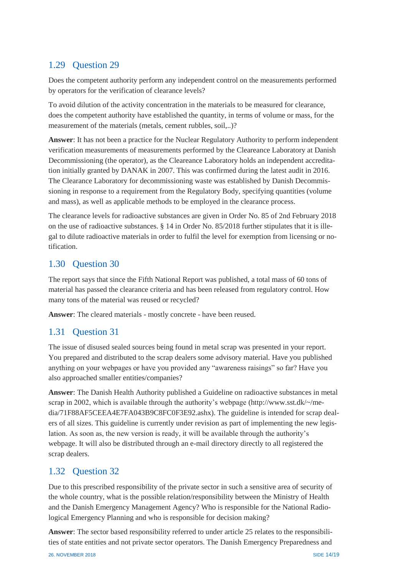### <span id="page-14-0"></span>1.29 Question 29

Does the competent authority perform any independent control on the measurements performed by operators for the verification of clearance levels?

To avoid dilution of the activity concentration in the materials to be measured for clearance, does the competent authority have established the quantity, in terms of volume or mass, for the measurement of the materials (metals, cement rubbles, soil,..)?

**Answer**: It has not been a practice for the Nuclear Regulatory Authority to perform independent verification measurements of measurements performed by the Cleareance Laboratory at Danish Decommissioning (the operator), as the Cleareance Laboratory holds an independent accreditation initially granted by DANAK in 2007. This was confirmed during the latest audit in 2016. The Clearance Laboratory for decommissioning waste was established by Danish Decommissioning in response to a requirement from the Regulatory Body, specifying quantities (volume and mass), as well as applicable methods to be employed in the clearance process.

The clearance levels for radioactive substances are given in Order No. 85 of 2nd February 2018 on the use of radioactive substances. § 14 in Order No. 85/2018 further stipulates that it is illegal to dilute radioactive materials in order to fulfil the level for exemption from licensing or notification.

#### <span id="page-14-1"></span>1.30 Question 30

The report says that since the Fifth National Report was published, a total mass of 60 tons of material has passed the clearance criteria and has been released from regulatory control. How many tons of the material was reused or recycled?

**Answer**: The cleared materials - mostly concrete - have been reused.

#### <span id="page-14-2"></span>1.31 Question 31

The issue of disused sealed sources being found in metal scrap was presented in your report. You prepared and distributed to the scrap dealers some advisory material. Have you published anything on your webpages or have you provided any "awareness raisings" so far? Have you also approached smaller entities/companies?

**Answer**: The Danish Health Authority published a Guideline on radioactive substances in metal scrap in 2002, which is available through the authority's webpage (http://www.sst.dk/~/media/71F88AF5CEEA4E7FA043B9C8FC0F3E92.ashx). The guideline is intended for scrap dealers of all sizes. This guideline is currently under revision as part of implementing the new legislation. As soon as, the new version is ready, it will be available through the authority's webpage. It will also be distributed through an e-mail directory directly to all registered the scrap dealers.

#### <span id="page-14-3"></span>1.32 Question 32

Due to this prescribed responsibility of the private sector in such a sensitive area of security of the whole country, what is the possible relation/responsibility between the Ministry of Health and the Danish Emergency Management Agency? Who is responsible for the National Radiological Emergency Planning and who is responsible for decision making?

**Answer**: The sector based responsibility referred to under article 25 relates to the responsibilities of state entities and not private sector operators. The Danish Emergency Preparedness and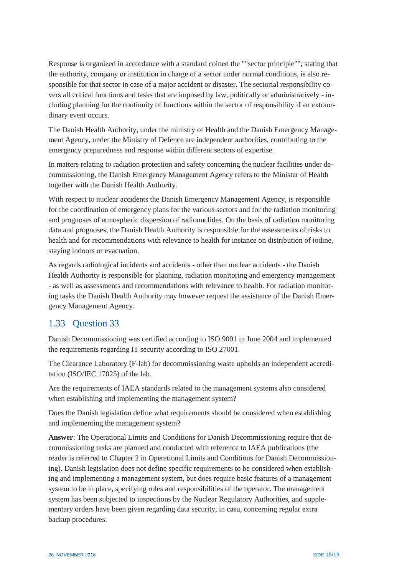Response is organized in accordance with a standard coined the ""sector principle""; stating that the authority, company or institution in charge of a sector under normal conditions, is also responsible for that sector in case of a major accident or disaster. The sectorial responsibility covers all critical functions and tasks that are imposed by law, politically or administratively - including planning for the continuity of functions within the sector of responsibility if an extraordinary event occurs.

The Danish Health Authority, under the ministry of Health and the Danish Emergency Management Agency, under the Ministry of Defence are independent authorities, contributing to the emergency preparedness and response within different sectors of expertise.

In matters relating to radiation protection and safety concerning the nuclear facilities under decommissioning, the Danish Emergency Management Agency refers to the Minister of Health together with the Danish Health Authority.

With respect to nuclear accidents the Danish Emergency Management Agency, is responsible for the coordination of emergency plans for the various sectors and for the radiation monitoring and prognoses of atmospheric dispersion of radionuclides. On the basis of radiation monitoring data and prognoses, the Danish Health Authority is responsible for the assessments of risks to health and for recommendations with relevance to health for instance on distribution of iodine, staying indoors or evacuation.

As regards radiological incidents and accidents - other than nuclear accidents - the Danish Health Authority is responsible for planning, radiation monitoring and emergency management - as well as assessments and recommendations with relevance to health. For radiation monitoring tasks the Danish Health Authority may however request the assistance of the Danish Emergency Management Agency.

#### <span id="page-15-0"></span>1.33 Question 33

Danish Decommissioning was certified according to ISO 9001 in June 2004 and implemented the requirements regarding IT security according to ISO 27001.

The Clearance Laboratory (F-lab) for decommissioning waste upholds an independent accreditation (ISO/IEC 17025) of the lab.

Are the requirements of IAEA standards related to the management systems also considered when establishing and implementing the management system?

Does the Danish legislation define what requirements should be considered when establishing and implementing the management system?

**Answer**: The Operational Limits and Conditions for Danish Decommissioning require that decommissioning tasks are planned and conducted with reference to IAEA publications (the reader is referred to Chapter 2 in Operational Limits and Conditions for Danish Decommissioning). Danish legislation does not define specific requirements to be considered when establishing and implementing a management system, but does require basic features of a management system to be in place, specifying roles and responsibilities of the operator. The management system has been subjected to inspections by the Nuclear Regulatory Authorities, and supplementary orders have been given regarding data security, in casu, concerning regular extra backup procedures.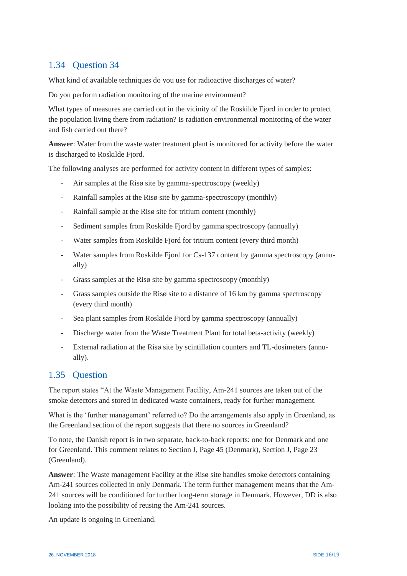# <span id="page-16-0"></span>1.34 Question 34

What kind of available techniques do you use for radioactive discharges of water?

Do you perform radiation monitoring of the marine environment?

What types of measures are carried out in the vicinity of the Roskilde Fjord in order to protect the population living there from radiation? Is radiation environmental monitoring of the water and fish carried out there?

**Answer**: Water from the waste water treatment plant is monitored for activity before the water is discharged to Roskilde Fjord.

The following analyses are performed for activity content in different types of samples:

- Air samples at the Risø site by gamma-spectroscopy (weekly)
- Rainfall samples at the Risø site by gamma-spectroscopy (monthly)
- Rainfall sample at the Risø site for tritium content (monthly)
- Sediment samples from Roskilde Fjord by gamma spectroscopy (annually)
- Water samples from Roskilde Fjord for tritium content (every third month)
- Water samples from Roskilde Fjord for Cs-137 content by gamma spectroscopy (annually)
- Grass samples at the Risø site by gamma spectroscopy (monthly)
- Grass samples outside the Risø site to a distance of 16 km by gamma spectroscopy (every third month)
- Sea plant samples from Roskilde Fjord by gamma spectroscopy (annually)
- Discharge water from the Waste Treatment Plant for total beta-activity (weekly)
- External radiation at the Risø site by scintillation counters and TL-dosimeters (annually).

#### <span id="page-16-1"></span>1.35 Question

The report states "At the Waste Management Facility, Am-241 sources are taken out of the smoke detectors and stored in dedicated waste containers, ready for further management.

What is the 'further management' referred to? Do the arrangements also apply in Greenland, as the Greenland section of the report suggests that there no sources in Greenland?

To note, the Danish report is in two separate, back-to-back reports: one for Denmark and one for Greenland. This comment relates to Section J, Page 45 (Denmark), Section J, Page 23 (Greenland).

**Answer**: The Waste management Facility at the Risø site handles smoke detectors containing Am-241 sources collected in only Denmark. The term further management means that the Am-241 sources will be conditioned for further long-term storage in Denmark. However, DD is also looking into the possibility of reusing the Am-241 sources.

An update is ongoing in Greenland.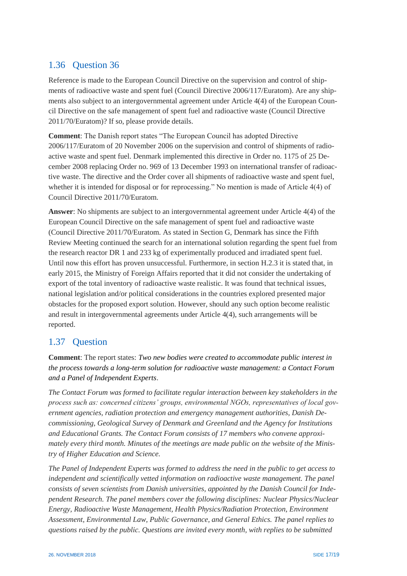# <span id="page-17-0"></span>1.36 Question 36

Reference is made to the European Council Directive on the supervision and control of shipments of radioactive waste and spent fuel (Council Directive 2006/117/Euratom). Are any shipments also subject to an intergovernmental agreement under Article 4(4) of the European Council Directive on the safe management of spent fuel and radioactive waste (Council Directive 2011/70/Euratom)? If so, please provide details.

**Comment**: The Danish report states "The European Council has adopted Directive 2006/117/Euratom of 20 November 2006 on the supervision and control of shipments of radioactive waste and spent fuel. Denmark implemented this directive in Order no. 1175 of 25 December 2008 replacing Order no. 969 of 13 December 1993 on international transfer of radioactive waste. The directive and the Order cover all shipments of radioactive waste and spent fuel, whether it is intended for disposal or for reprocessing." No mention is made of Article 4(4) of Council Directive 2011/70/Euratom.

**Answer**: No shipments are subject to an intergovernmental agreement under Article 4(4) of the European Council Directive on the safe management of spent fuel and radioactive waste (Council Directive 2011/70/Euratom. As stated in Section G, Denmark has since the Fifth Review Meeting continued the search for an international solution regarding the spent fuel from the research reactor DR 1 and 233 kg of experimentally produced and irradiated spent fuel. Until now this effort has proven unsuccessful. Furthermore, in section H.2.3 it is stated that, in early 2015, the Ministry of Foreign Affairs reported that it did not consider the undertaking of export of the total inventory of radioactive waste realistic. It was found that technical issues, national legislation and/or political considerations in the countries explored presented major obstacles for the proposed export solution. However, should any such option become realistic and result in intergovernmental agreements under Article 4(4), such arrangements will be reported.

## <span id="page-17-1"></span>1.37 Question

**Comment**: The report states: *Two new bodies were created to accommodate public interest in the process towards a long-term solution for radioactive waste management: a Contact Forum and a Panel of Independent Experts*.

*The Contact Forum was formed to facilitate regular interaction between key stakeholders in the process such as: concerned citizens' groups, environmental NGOs, representatives of local government agencies, radiation protection and emergency management authorities, Danish Decommissioning, Geological Survey of Denmark and Greenland and the Agency for Institutions and Educational Grants. The Contact Forum consists of 17 members who convene approximately every third month. Minutes of the meetings are made public on the website of the Ministry of Higher Education and Science.*

*The Panel of Independent Experts was formed to address the need in the public to get access to independent and scientifically vetted information on radioactive waste management. The panel consists of seven scientists from Danish universities, appointed by the Danish Council for Independent Research. The panel members cover the following disciplines: Nuclear Physics/Nuclear Energy, Radioactive Waste Management, Health Physics/Radiation Protection, Environment Assessment, Environmental Law, Public Governance, and General Ethics. The panel replies to questions raised by the public. Questions are invited every month, with replies to be submitted*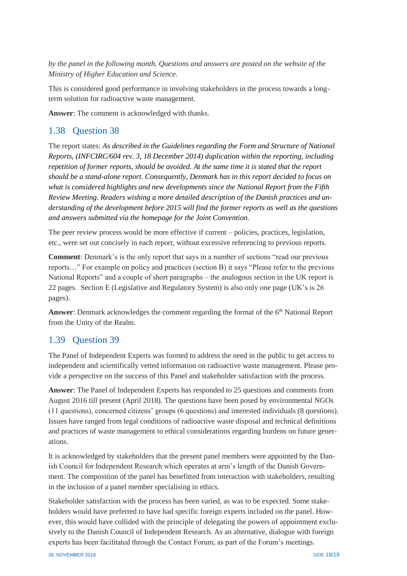*by the panel in the following month. Questions and answers are posted on the website of the Ministry of Higher Education and Science.*

This is considered good performance in involving stakeholders in the process towards a longterm solution for radioactive waste management.

**Answer**: The comment is acknowledged with thanks.

#### <span id="page-18-0"></span>1.38 Question 38

The report states: *As described in the Guidelines regarding the Form and Structure of National Reports, (INFCIRC/604 rev. 3, 18 December 2014) duplication within the reporting, including repetition of former reports, should be avoided. At the same time it is stated that the report should be a stand-alone report. Consequently, Denmark has in this report decided to focus on what is considered highlights and new developments since the National Report from the Fifth Review Meeting. Readers wishing a more detailed description of the Danish practices and understanding of the development before 2015 will find the former reports as well as the questions and answers submitted via the homepage for the Joint Convention*.

The peer review process would be more effective if current – policies, practices, legislation, etc., were set out concisely in each report, without excessive referencing to previous reports.

**Comment**: Denmark's is the only report that says in a number of sections "read our previous reports…" For example on policy and practices (section B) it says "Please refer to the previous National Reports" and a couple of short paragraphs – the analogous section in the UK report is 22 pages. Section E (Legislative and Regulatory System) is also only one page (UK's is 26 pages).

**Answer**: Denmark acknowledges the comment regarding the format of the 6<sup>th</sup> National Report from the Unity of the Realm.

#### <span id="page-18-1"></span>1.39 Question 39

The Panel of Independent Experts was formed to address the need in the public to get access to independent and scientifically vetted information on radioactive waste management. Please provide a perspective on the success of this Panel and stakeholder satisfaction with the process.

**Answer**: The Panel of Independent Experts has responded to 25 questions and comments from August 2016 till present (April 2018). The questions have been posed by environmental NGOs (11 questions), concerned citizens' groups (6 questions) and interested individuals (8 questions). Issues have ranged from legal conditions of radioactive waste disposal and technical definitions and practices of waste management to ethical considerations regarding burdens on future generations.

It is acknowledged by stakeholders that the present panel members were appointed by the Danish Council for Independent Research which operates at arm's length of the Danish Government. The composition of the panel has benefitted from interaction with stakeholders, resulting in the inclusion of a panel member specialising in ethics.

Stakeholder satisfaction with the process has been varied, as was to be expected. Some stakeholders would have preferred to have had specific foreign experts included on the panel. However, this would have collided with the principle of delegating the powers of appointment exclusively to the Danish Council of Independent Research. As an alternative, dialogue with foreign experts has been facilitated through the Contact Forum, as part of the Forum's meetings.